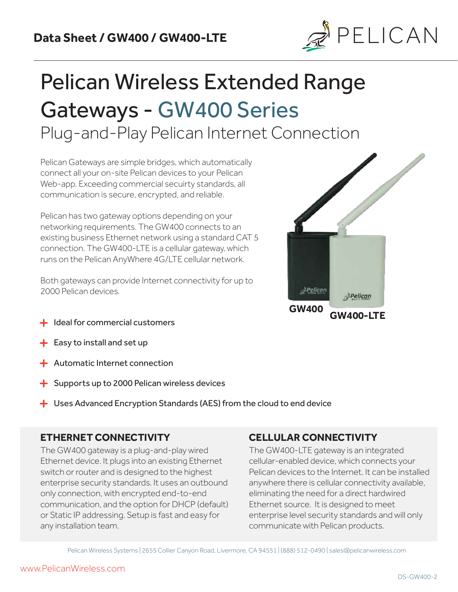

# Pelican Wireless Extended Range Gateways - GW400 Series Plug-and-Play Pelican Internet Connection

Pelican Gateways are simple bridges, which automatically connect all your on-site Pelican devices to your Pelican Web-app. Exceeding commercial secuirty standards, all communication is secure, encrypted, and reliable.

Pelican has two gateway options depending on your networking requirements. The GW400 connects to an existing business Ethernet network using a standard CAT 5 connection. The GW400-LTE is a cellular gateway, which runs on the Pelican AnyWhere 4G/LTE cellular network.

Both gateways can provide Internet connectivity for up to 2000 Pelican devices.



- Ideal for commercial customers
- $\div$  Easy to install and set up
- $\div$  Automatic Internet connection
- $\div$  Supports up to 2000 Pelican wireless devices
- $\div$  Uses Advanced Encryption Standards (AES) from the cloud to end device

## **ETHERNET CONNECTIVITY**

The GW400 gateway is a plug-and-play wired Ethernet device. It plugs into an existing Ethernet switch or router and is designed to the highest enterprise security standards. It uses an outbound only connection, with encrypted end-to-end communication, and the option for DHCP (default) or Static IP addressing. Setup is fast and easy for any installation team.

## **CELLULAR CONNECTIVITY**

The GW400-LTE gateway is an integrated cellular-enabled device, which connects your Pelican devices to the Internet. It can be installed anywhere there is cellular connectivity available, eliminating the need for a direct hardwired Ethernet source. It is designed to meet enterprise level security standards and will only communicate with Pelican products.

Pelican Wireless Systems | 2655 Collier Canyon Road, Livermore, CA 94551 | (888) 512-0490 | sales@pelicanwireless.com